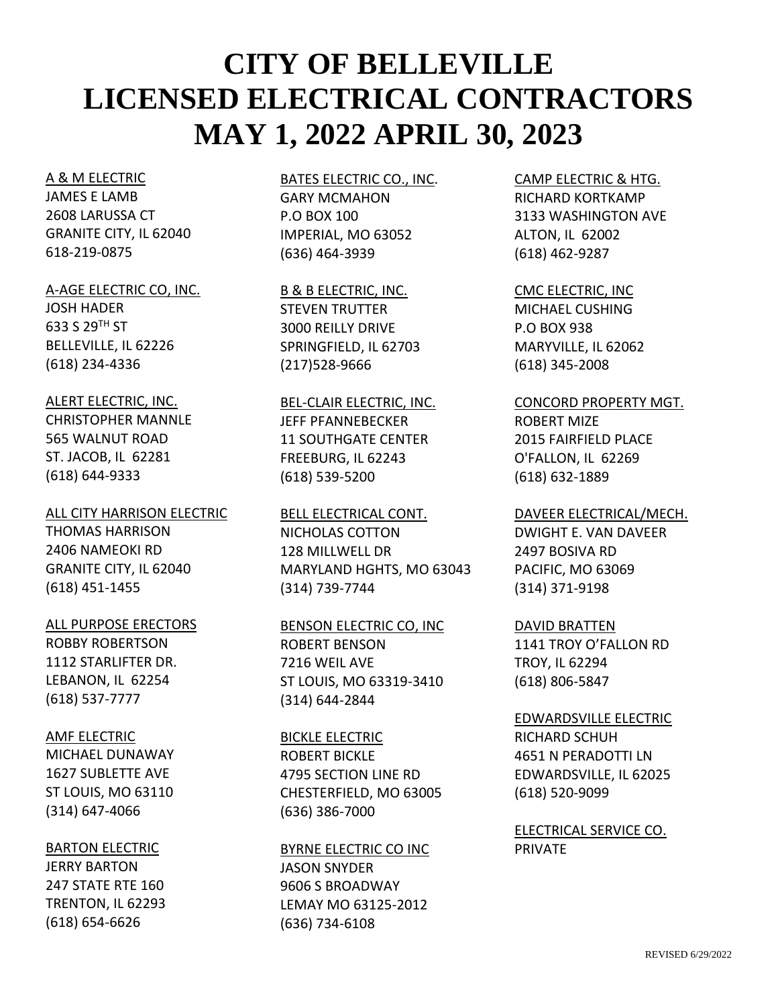#### A & M ELECTRIC

JAMES E LAMB 2608 LARUSSA CT GRANITE CITY, IL 62040 618-219-0875

#### A-AGE ELECTRIC CO, INC.

JOSH HADER 633 S 29TH ST BELLEVILLE, IL 62226 (618) 234-4336

#### ALERT ELECTRIC, INC.

CHRISTOPHER MANNLE 565 WALNUT ROAD ST. JACOB, IL 62281 (618) 644-9333

ALL CITY HARRISON ELECTRIC THOMAS HARRISON 2406 NAMEOKI RD GRANITE CITY, IL 62040 (618) 451-1455

#### ALL PURPOSE ERECTORS

ROBBY ROBERTSON 1112 STARLIFTER DR. LEBANON, IL 62254 (618) 537-7777

#### AMF ELECTRIC

MICHAEL DUNAWAY 1627 SUBLETTE AVE ST LOUIS, MO 63110 (314) 647-4066

#### BARTON ELECTRIC

JERRY BARTON 247 STATE RTE 160 TRENTON, IL 62293 (618) 654-6626

# BATES ELECTRIC CO., INC. GARY MCMAHON P.O BOX 100 IMPERIAL, MO 63052 (636) 464-3939

B & B ELECTRIC, INC. STEVEN TRUTTER 3000 REILLY DRIVE SPRINGFIELD, IL 62703 (217)528-9666

BEL-CLAIR ELECTRIC, INC. JEFF PFANNEBECKER 11 SOUTHGATE CENTER FREEBURG, IL 62243 (618) 539-5200

BELL ELECTRICAL CONT. NICHOLAS COTTON 128 MILLWELL DR MARYLAND HGHTS, MO 63043 (314) 739-7744

## BENSON ELECTRIC CO, INC ROBERT BENSON 7216 WEIL AVE ST LOUIS, MO 63319-3410

(314) 644-2844 BICKLE ELECTRIC ROBERT BICKLE 4795 SECTION LINE RD CHESTERFIELD, MO 63005 (636) 386-7000

#### BYRNE ELECTRIC CO INC

JASON SNYDER 9606 S BROADWAY LEMAY MO 63125-2012 (636) 734-6108

# CAMP ELECTRIC & HTG. RICHARD KORTKAMP 3133 WASHINGTON AVE ALTON, IL 62002 (618) 462-9287

CMC ELECTRIC, INC MICHAEL CUSHING P.O BOX 938 MARYVILLE, IL 62062 (618) 345-2008

# CONCORD PROPERTY MGT. ROBERT MIZE 2015 FAIRFIELD PLACE O'FALLON, IL 62269 (618) 632-1889

#### DAVEER ELECTRICAL/MECH.

DWIGHT E. VAN DAVEER 2497 BOSIVA RD PACIFIC, MO 63069 (314) 371-9198

#### DAVID BRATTEN

1141 TROY O'FALLON RD TROY, IL 62294 (618) 806-5847

# EDWARDSVILLE ELECTRIC

RICHARD SCHUH 4651 N PERADOTTI LN EDWARDSVILLE, IL 62025 (618) 520-9099

ELECTRICAL SERVICE CO. PRIVATE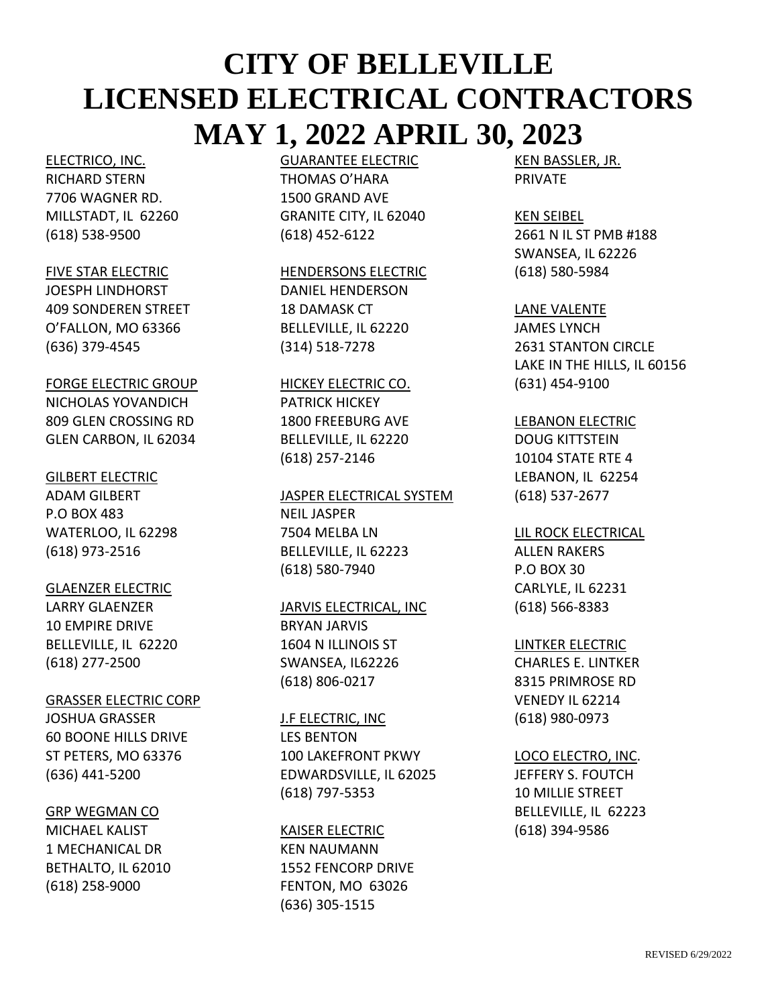#### ELECTRICO, INC.

RICHARD STERN 7706 WAGNER RD. MILLSTADT, IL 62260 (618) 538-9500

## FIVE STAR ELECTRIC

JOESPH LINDHORST 409 SONDEREN STREET O'FALLON, MO 63366 (636) 379-4545

## FORGE ELECTRIC GROUP

NICHOLAS YOVANDICH 809 GLEN CROSSING RD GLEN CARBON, IL 62034

#### GILBERT ELECTRIC

ADAM GILBERT P.O BOX 483 WATERLOO, IL 62298 (618) 973-2516

# GLAENZER ELECTRIC

LARRY GLAENZER 10 EMPIRE DRIVE BELLEVILLE, IL 62220 (618) 277-2500

# GRASSER ELECTRIC CORP

JOSHUA GRASSER 60 BOONE HILLS DRIVE ST PETERS, MO 63376 (636) 441-5200

# GRP WEGMAN CO

MICHAEL KALIST 1 MECHANICAL DR BETHALTO, IL 62010 (618) 258-9000

# GUARANTEE ELECTRIC

THOMAS O'HARA 1500 GRAND AVE GRANITE CITY, IL 62040 (618) 452-6122

# HENDERSONS ELECTRIC

DANIEL HENDERSON 18 DAMASK CT BELLEVILLE, IL 62220 (314) 518-7278

# HICKEY ELECTRIC CO. PATRICK HICKEY 1800 FREEBURG AVE

BELLEVILLE, IL 62220 (618) 257-2146

## JASPER ELECTRICAL SYSTEM

NEIL JASPER 7504 MELBA LN BELLEVILLE, IL 62223 (618) 580-7940

# JARVIS ELECTRICAL, INC

BRYAN JARVIS 1604 N ILLINOIS ST SWANSEA, IL62226 (618) 806-0217

# **J.F ELECTRIC, INC**

LES BENTON 100 LAKEFRONT PKWY EDWARDSVILLE, IL 62025 (618) 797-5353

# KAISER ELECTRIC

KEN NAUMANN 1552 FENCORP DRIVE FENTON, MO 63026 (636) 305-1515

KEN BASSLER, JR. PRIVATE

# KEN SEIBEL

2661 N IL ST PMB #188 SWANSEA, IL 62226 (618) 580-5984

## LANE VALENTE

JAMES LYNCH 2631 STANTON CIRCLE LAKE IN THE HILLS, IL 60156 (631) 454-9100

# LEBANON ELECTRIC

DOUG KITTSTEIN 10104 STATE RTE 4 LEBANON, IL 62254 (618) 537-2677

# LIL ROCK ELECTRICAL ALLEN RAKERS P.O BOX 30 CARLYLE, IL 62231 (618) 566-8383

# LINTKER ELECTRIC

CHARLES E. LINTKER 8315 PRIMROSE RD VENEDY IL 62214 (618) 980-0973

# LOCO ELECTRO, INC. JEFFERY S. FOUTCH 10 MILLIE STREET BELLEVILLE, IL 62223 (618) 394-9586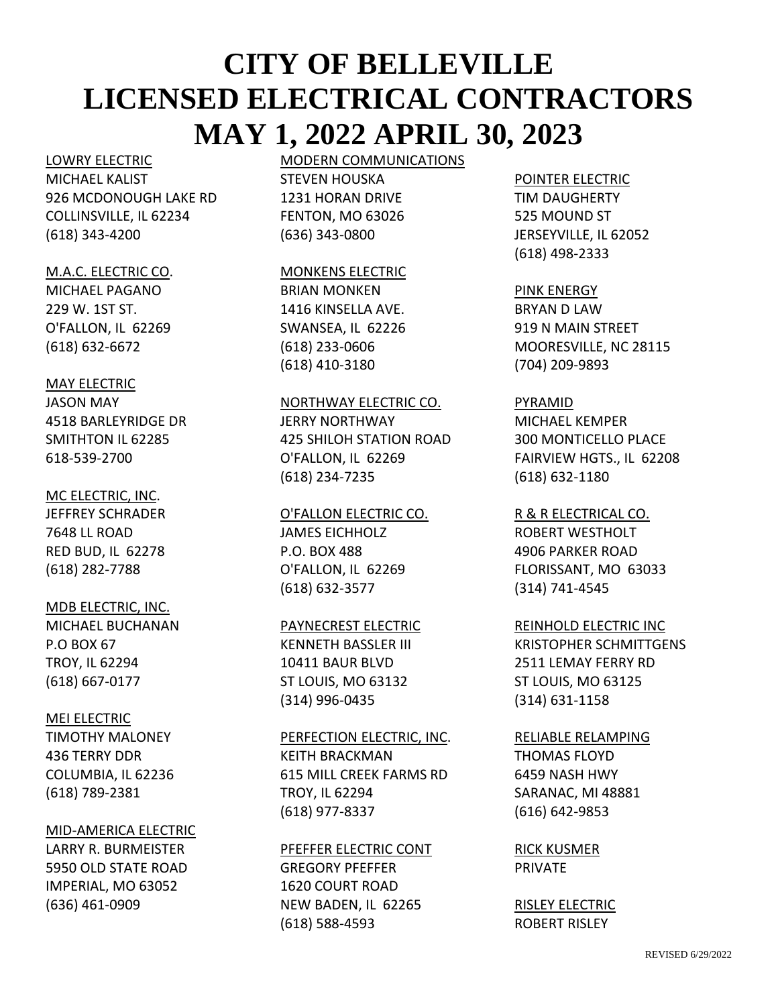#### LOWRY ELECTRIC

MICHAEL KALIST 926 MCDONOUGH LAKE RD COLLINSVILLE, IL 62234 (618) 343-4200

#### M.A.C. ELECTRIC CO.

MICHAEL PAGANO 229 W. 1ST ST. O'FALLON, IL 62269 (618) 632-6672

#### MAY ELECTRIC

JASON MAY 4518 BARLEYRIDGE DR SMITHTON IL 62285 618-539-2700

#### MC ELECTRIC, INC.

JEFFREY SCHRADER 7648 LL ROAD RED BUD, IL 62278 (618) 282-7788

#### MDB ELECTRIC, INC.

MICHAEL BUCHANAN P.O BOX 67 TROY, IL 62294 (618) 667-0177

# MEI ELECTRIC

TIMOTHY MALONEY 436 TERRY DDR COLUMBIA, IL 62236 (618) 789-2381

#### MID-AMERICA ELECTRIC

LARRY R. BURMEISTER 5950 OLD STATE ROAD IMPERIAL, MO 63052 (636) 461-0909

# MODERN COMMUNICATIONS STEVEN HOUSKA

1231 HORAN DRIVE FENTON, MO 63026 (636) 343-0800

#### MONKENS ELECTRIC

BRIAN MONKEN 1416 KINSELLA AVE. SWANSEA, IL 62226 (618) 233-0606 (618) 410-3180

# NORTHWAY ELECTRIC CO.

JERRY NORTHWAY 425 SHILOH STATION ROAD O'FALLON, IL 62269 (618) 234-7235

# O'FALLON ELECTRIC CO. JAMES EICHHOLZ P.O. BOX 488 O'FALLON, IL 62269 (618) 632-3577

#### PAYNECREST ELECTRIC

KENNETH BASSLER III 10411 BAUR BLVD ST LOUIS, MO 63132 (314) 996-0435

#### PERFECTION ELECTRIC, INC.

KEITH BRACKMAN 615 MILL CREEK FARMS RD TROY, IL 62294 (618) 977-8337

#### PFEFFER ELECTRIC CONT

GREGORY PFEFFER 1620 COURT ROAD NEW BADEN, IL 62265 (618) 588-4593

#### POINTER ELECTRIC

TIM DAUGHERTY 525 MOUND ST JERSEYVILLE, IL 62052 (618) 498-2333

#### PINK ENERGY

BRYAN D LAW 919 N MAIN STREET MOORESVILLE, NC 28115 (704) 209-9893

#### PYRAMID

MICHAEL KEMPER 300 MONTICELLO PLACE FAIRVIEW HGTS., IL 62208 (618) 632-1180

# R & R ELECTRICAL CO.

ROBERT WESTHOLT 4906 PARKER ROAD FLORISSANT, MO 63033 (314) 741-4545

#### REINHOLD ELECTRIC INC

KRISTOPHER SCHMITTGENS 2511 LEMAY FERRY RD ST LOUIS, MO 63125 (314) 631-1158

#### RELIABLE RELAMPING

THOMAS FLOYD 6459 NASH HWY SARANAC, MI 48881 (616) 642-9853

RICK KUSMER PRIVATE

RISLEY ELECTRIC ROBERT RISLEY